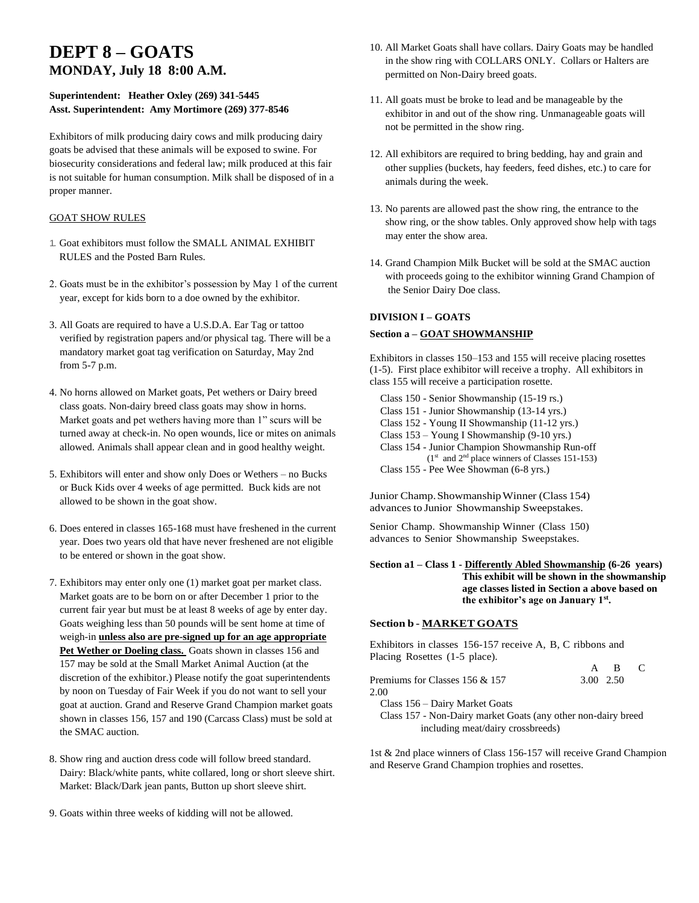# **DEPT 8 – GOATS MONDAY, July 18 8:00 A.M.**

# **Superintendent: Heather Oxley (269) 341-5445 Asst. Superintendent: Amy Mortimore (269) 377-8546**

Exhibitors of milk producing dairy cows and milk producing dairy goats be advised that these animals will be exposed to swine. For biosecurity considerations and federal law; milk produced at this fair is not suitable for human consumption. Milk shall be disposed of in a proper manner.

## GOAT SHOW RULES

- 1. Goat exhibitors must follow the SMALL ANIMAL EXHIBIT RULES and the Posted Barn Rules.
- 2. Goats must be in the exhibitor's possession by May 1 of the current year, except for kids born to a doe owned by the exhibitor.
- 3. All Goats are required to have a U.S.D.A. Ear Tag or tattoo verified by registration papers and/or physical tag. There will be a mandatory market goat tag verification on Saturday, May 2nd from 5-7 p.m.
- 4. No horns allowed on Market goats, Pet wethers or Dairy breed class goats. Non-dairy breed class goats may show in horns. Market goats and pet wethers having more than 1" scurs will be turned away at check-in. No open wounds, lice or mites on animals allowed. Animals shall appear clean and in good healthy weight.
- 5. Exhibitors will enter and show only Does or Wethers no Bucks or Buck Kids over 4 weeks of age permitted. Buck kids are not allowed to be shown in the goat show.
- 6. Does entered in classes 165-168 must have freshened in the current year. Does two years old that have never freshened are not eligible to be entered or shown in the goat show.
- 7. Exhibitors may enter only one (1) market goat per market class. Market goats are to be born on or after December 1 prior to the current fair year but must be at least 8 weeks of age by enter day. Goats weighing less than 50 pounds will be sent home at time of weigh-in **unless also are pre-signed up for an age appropriate**  Pet Wether or Doeling class. Goats shown in classes 156 and 157 may be sold at the Small Market Animal Auction (at the discretion of the exhibitor.) Please notify the goat superintendents by noon on Tuesday of Fair Week if you do not want to sell your goat at auction. Grand and Reserve Grand Champion market goats shown in classes 156, 157 and 190 (Carcass Class) must be sold at the SMAC auction.
- 8. Show ring and auction dress code will follow breed standard. Dairy: Black/white pants, white collared, long or short sleeve shirt. Market: Black/Dark jean pants, Button up short sleeve shirt.
- 9. Goats within three weeks of kidding will not be allowed.
- 10. All Market Goats shall have collars. Dairy Goats may be handled in the show ring with COLLARS ONLY. Collars or Halters are permitted on Non-Dairy breed goats.
- 11. All goats must be broke to lead and be manageable by the exhibitor in and out of the show ring. Unmanageable goats will not be permitted in the show ring.
- 12. All exhibitors are required to bring bedding, hay and grain and other supplies (buckets, hay feeders, feed dishes, etc.) to care for animals during the week.
- 13. No parents are allowed past the show ring, the entrance to the show ring, or the show tables. Only approved show help with tags may enter the show area.
- 14. Grand Champion Milk Bucket will be sold at the SMAC auction with proceeds going to the exhibitor winning Grand Champion of the Senior Dairy Doe class.

# **DIVISION I – GOATS Section a – GOAT SHOWMANSHIP**

Exhibitors in classes 150–153 and 155 will receive placing rosettes (1-5). First place exhibitor will receive a trophy. All exhibitors in class 155 will receive a participation rosette.

 Class 150 - Senior Showmanship (15-19 rs.) Class 151 - Junior Showmanship (13-14 yrs.) Class 152 - Young II Showmanship (11-12 yrs.) Class 153 – Young I Showmanship (9-10 yrs.) Class 154 - Junior Champion Showmanship Run-off  $(1<sup>st</sup>$  and  $2<sup>nd</sup>$  place winners of Classes 151-153) Class 155 - Pee Wee Showman (6-8 yrs.)

Junior Champ.ShowmanshipWinner (Class 154) advances to Junior Showmanship Sweepstakes.

Senior Champ. Showmanship Winner (Class 150) advances to Senior Showmanship Sweepstakes.

**Section a1 – Class 1 - Differently Abled Showmanship (6-26 years) This exhibit will be shown in the showmanship age classes listed in Section a above based on the exhibitor's age on January 1st .**

### **Section b - MARKET GOATS**

Exhibitors in classes 156-157 receive A, B, C ribbons and Placing Rosettes (1-5 place).

|                                                               |           | A B |  |
|---------------------------------------------------------------|-----------|-----|--|
| Premiums for Classes 156 & 157                                | 3.00 2.50 |     |  |
| 2.00                                                          |           |     |  |
| Class 156 – Dairy Market Goats                                |           |     |  |
| Class 157 - Non-Dairy market Goats (any other non-dairy breed |           |     |  |
| including meat/dairy crossbreeds)                             |           |     |  |

1st & 2nd place winners of Class 156-157 will receive Grand Champion and Reserve Grand Champion trophies and rosettes.